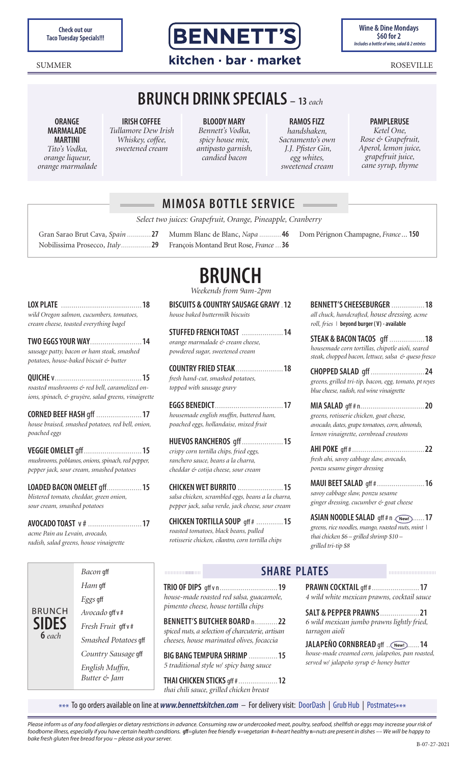**Check out our<br>Taco Tuesday Specials!!!** 



**Wine & Dine Mondays \$60 for 2**<br>Includes a bottle of wine, salad & 2 entrées

# SUMMER ROSEVILLE

# **BRUNCH DRINK SPECIALS – <sup>13</sup>***each*

**ORANGE MARMALADE MARTINI**

*Tito's Vodka, orange liqueur, orange marmalade*

**IRISH COFFEE** *Tullamore Dew Irish Whiskey, coffee, sweetened cream*

**BLOODY MARY** *Bennett's Vodka, spicy house mix, antipasto garnish, candied bacon*

**RAMOS FIZZ** *handshaken, Sacramento's own J.J. Pfister Gin, egg whites, sweetened cream*

#### **PAMPLERUSE** *Ketel One,*

*Rose & Grapefruit, Aperol, lemon juice, grapefruit juice, cane syrup, thyme*

|                                                                                                              | <b>MIMOSA BOTTLE SERVICE</b>                                                                    |                                                                                                                                       |
|--------------------------------------------------------------------------------------------------------------|-------------------------------------------------------------------------------------------------|---------------------------------------------------------------------------------------------------------------------------------------|
|                                                                                                              | Select two juices: Grapefruit, Orange, Pineapple, Cranberry                                     |                                                                                                                                       |
| Gran Sarao Brut Cava, Spain  27<br>Nobilissima Prosecco, Italy29                                             | Mumm Blanc de Blanc, Napa  46<br>François Montand Brut Rose, France  36                         | Dom Pérignon Champagne, France 150                                                                                                    |
|                                                                                                              | <b>BRUNCH</b><br>Weekends from 9am-2pm                                                          |                                                                                                                                       |
| wild Oregon salmon, cucumbers, tomatoes,<br>cream cheese, toasted everything bagel                           | <b>BISCUITS &amp; COUNTRY SAUSAGE GRAVY 12</b><br>house baked buttermilk biscuits               | BENNETT'S CHEESEBURGER  18<br>all chuck, handcrafted, house dressing, acme<br>roll, fries $\perp$ beyond burger (V) - available       |
| TWO EGGS YOUR WAY14<br>sausage patty, bacon or ham steak, smashed<br>potatoes, house-haked hiscuit es hutter | STUFFED FRENCH TOAST  14<br>orange marmalade & cream cheese,<br>powdered sugar, sweetened cream | STEAK & BACON TACOS qff 18<br>housemade corn tortillas, chipotle aioli, seared<br>steak, chopped bacon, lettuce, salsa & queso fresco |

**COUNTRY FRIED STEAK**.......................**18**

**EGGS BENEDICT**.................................**17** *housemade english muffin, buttered ham, poached eggs, hollandaise, mixed fruit*

**HUEVOS RANCHEROS** gff....................**15**

**CHICKEN WET BURRITO .**.....................**15** *salsa chicken, scrambled eggs, beans a la charra, pepper jack, salsa verde, jack cheese, sour cream* **CHICKEN TORTILLA SOUP** gff # .............**15**

*fresh hand-cut, smashed potatoes, topped with sausage gravy*

*crispy corn tortilla chips, fried eggs, ranchero sauce, beans a la charra, cheddar & cotija cheese, sour cream*

*roasted tomatoes, black beans, pulled rotisserie chicken, cilantro, corn tortilla chips*

**TRIO OF DIPS** gff v n............................**19** *house-made roasted red salsa, guacamole, pimento cheese, house tortilla chips*

**BENNETT'S BUTCHER BOARD** n...........**22** *spiced nuts, a selection of charcuterie, artisan cheeses, house marinated olives, focaccia*

**BIG BANG TEMPURA SHRIMP** ..............**15** *5 traditional style w/ spicy bang sauce*

**THAI CHICKEN STICKS** gff #...................**12** *thai chili sauce, grilled chicken breast*

**CHOPPED SALAD** gff ..........................**24** *greens, grilled tri-tip, bacon, egg, tomato, pt reyes blue cheese, radish, red wine vinaigrette*

**MIA SALAD** gff # n...............................**20** *greens, rotisserie chicken, goat cheese, avocado, dates, grape tomatoes, corn, almonds, lemon vinaigrette, cornbread croutons*

**AHI POKE** gff #...................................**22** *fresh ahi, savoy cabbage slaw, avocado, ponzu sesame ginger dressing*

**MAUI BEET SALAD** gff #.......................**16** *savoy cabbage slaw, ponzu sesame ginger dressing, cucumber & goat cheese*

**ASIAN NOODLE SALAD** gff # n . (New!).......17 *greens, rice noodles, mango, roasted nuts, mint | thai chicken \$6 – grilled shrimp \$10 – grilled tri-tip \$8*

### **LOX PLATE** .......................................**18** *wild Oregon salmon, cucumbers, tomatoes, cream cheese, toasted everything bagel*

*sausage patty, bacon or ham steak, smashed potatoes, house-baked biscuit & butter*

**QUICHE** v..........................................**15** *roasted mushrooms & red bell, caramelized onions, spinach, & gruyère, salad greens, vinaigrette*

**CORNED BEEF HASH** gff ......................**17** *house braised, smashed potatoes, red bell, onion, poached eggs*

**VEGGIE OMELET** gff............................**15** *mushrooms, poblanos, onions, spinach, red pepper, pepper jack, sour cream, smashed potatoes*

**LOADED BACON OMELET** gff.................**15** *blistered tomato, cheddar, green onion, sour cream, smashed potatoes*

**AVOCADO TOAST** v #..........................**17** *acme Pain au Levain, avocado, radish, salad greens, house vinaigrette*

*Bacon* gff *Ham* gff *Eggs* gff *Avocado* gff v # *Fresh Fruit* gff v # *Smashed Potatoes* gff *Country Sausage* gff *English Muffin, Butter & Jam* BRUNCH

**SIDES 6** *each*

00000000000000

**SHARE PLATES**

**PRAWN COCKTAIL** gff #.......................**17** *4 wild white mexican prawns, cocktail sauce*

**SALT & PEPPER PRAWNS**...................**21** *6 wild mexican jumbo prawns lightly fried, tarragon aioli*

**JALAPEÑO CORNBREAD** gff ................**14 New!** *house-made creamed corn, jalapeños, pan roasted, served w/ jalapeño syrup & honey butter* 

\*\*\* To go orders available on line at *www.bennettskitchen.com* – For delivery visit: DoorDash | Grub Hub | Postmates\*\*\*

*Please inform us of any food allergies or dietary restrictions in advance. Consuming raw or undercooked meat, poultry, seafood, shellfish or eggs may increase your risk of*  foodborne illness, especially if you have certain health conditions. gff=gluten free friendly v=vegetarian #=heart healthy n=nuts are present in dishes -- We will be happy to *bake fresh gluten free bread for you ~ please ask your server.* 

#### B-07-27-2021